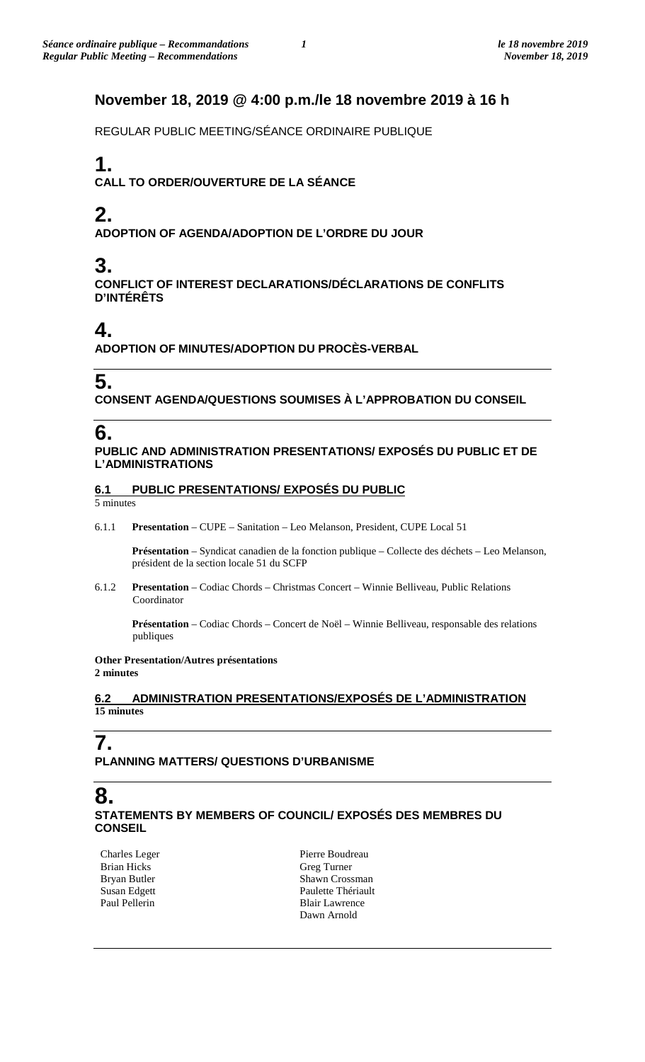### **November 18, 2019 @ 4:00 p.m./le 18 novembre 2019 à 16 h**

REGULAR PUBLIC MEETING/SÉANCE ORDINAIRE PUBLIQUE

## **1.**

**CALL TO ORDER/OUVERTURE DE LA SÉANCE**

## **2.**

**ADOPTION OF AGENDA/ADOPTION DE L'ORDRE DU JOUR**

## **3.**

**CONFLICT OF INTEREST DECLARATIONS/DÉCLARATIONS DE CONFLITS D'INTÉRÊTS**

## **4.**

**ADOPTION OF MINUTES/ADOPTION DU PROCÈS-VERBAL**

# **5.**

**CONSENT AGENDA/QUESTIONS SOUMISES À L'APPROBATION DU CONSEIL**

# **6.**

**PUBLIC AND ADMINISTRATION PRESENTATIONS/ EXPOSÉS DU PUBLIC ET DE L'ADMINISTRATIONS**

### **6.1 PUBLIC PRESENTATIONS/ EXPOSÉS DU PUBLIC**

5 minutes

6.1.1 **Presentation** – CUPE – Sanitation – Leo Melanson, President, CUPE Local 51

**Présentation** – Syndicat canadien de la fonction publique – Collecte des déchets – Leo Melanson, président de la section locale 51 du SCFP

6.1.2 **Presentation** – Codiac Chords – Christmas Concert – Winnie Belliveau, Public Relations Coordinator

**Présentation** – Codiac Chords – Concert de Noël – Winnie Belliveau, responsable des relations publiques

#### **Other Presentation/Autres présentations 2 minutes**

### **6.2 ADMINISTRATION PRESENTATIONS/EXPOSÉS DE L'ADMINISTRATION 15 minutes**

### **7. PLANNING MATTERS/ QUESTIONS D'URBANISME**

### **8. STATEMENTS BY MEMBERS OF COUNCIL/ EXPOSÉS DES MEMBRES DU CONSEIL**

Charles Leger Brian Hicks Bryan Butler Susan Edgett Paul Pellerin

Pierre Boudreau Greg Turner Shawn Crossman Paulette Thériault Blair Lawrence Dawn Arnold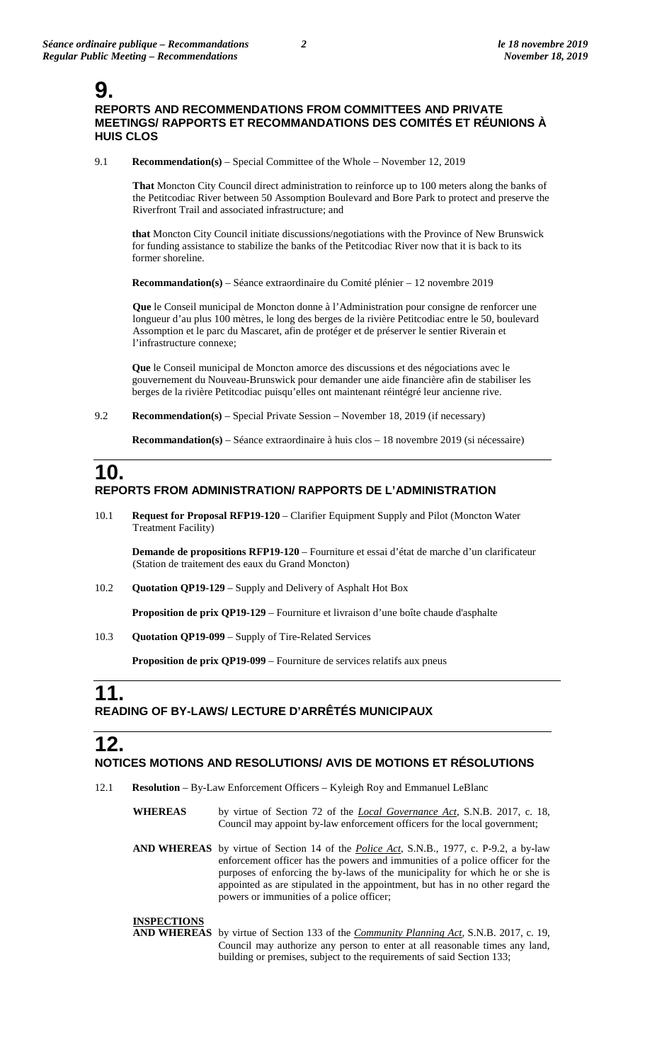### **9. REPORTS AND RECOMMENDATIONS FROM COMMITTEES AND PRIVATE MEETINGS/ RAPPORTS ET RECOMMANDATIONS DES COMITÉS ET RÉUNIONS À HUIS CLOS**

9.1 **Recommendation(s)** – Special Committee of the Whole – November 12, 2019

**That** Moncton City Council direct administration to reinforce up to 100 meters along the banks of the Petitcodiac River between 50 Assomption Boulevard and Bore Park to protect and preserve the Riverfront Trail and associated infrastructure; and

**that** Moncton City Council initiate discussions/negotiations with the Province of New Brunswick for funding assistance to stabilize the banks of the Petitcodiac River now that it is back to its former shoreline.

**Recommandation(s)** – Séance extraordinaire du Comité plénier – 12 novembre 2019

**Que** le Conseil municipal de Moncton donne à l'Administration pour consigne de renforcer une longueur d'au plus 100 mètres, le long des berges de la rivière Petitcodiac entre le 50, boulevard Assomption et le parc du Mascaret, afin de protéger et de préserver le sentier Riverain et l'infrastructure connexe;

**Que** le Conseil municipal de Moncton amorce des discussions et des négociations avec le gouvernement du Nouveau-Brunswick pour demander une aide financière afin de stabiliser les berges de la rivière Petitcodiac puisqu'elles ont maintenant réintégré leur ancienne rive.

9.2 **Recommendation(s)** – Special Private Session – November 18, 2019 (if necessary)

**Recommandation(s)** – Séance extraordinaire à huis clos – 18 novembre 2019 (si nécessaire)

### **10. REPORTS FROM ADMINISTRATION/ RAPPORTS DE L'ADMINISTRATION**

10.1 **Request for Proposal RFP19-120** – Clarifier Equipment Supply and Pilot (Moncton Water Treatment Facility)

**Demande de propositions RFP19-120** – Fourniture et essai d'état de marche d'un clarificateur (Station de traitement des eaux du Grand Moncton)

10.2 **Quotation QP19-129** – Supply and Delivery of Asphalt Hot Box

**Proposition de prix QP19-129** – Fourniture et livraison d'une boîte chaude d'asphalte

10.3 **Quotation QP19-099** – Supply of Tire-Related Services

**Proposition de prix QP19-099** – Fourniture de services relatifs aux pneus

### **11. READING OF BY-LAWS/ LECTURE D'ARRÊTÉS MUNICIPAUX**

# **12.**

### **NOTICES MOTIONS AND RESOLUTIONS/ AVIS DE MOTIONS ET RÉSOLUTIONS**

- 12.1 **Resolution** By-Law Enforcement Officers Kyleigh Roy and Emmanuel LeBlanc
	- **WHEREAS** by virtue of Section 72 of the *Local Governance Act*, S.N.B. 2017, c. 18, Council may appoint by-law enforcement officers for the local government;
	- **AND WHEREAS** by virtue of Section 14 of the *Police Act*, S.N.B., 1977, c. P-9.2, a by-law enforcement officer has the powers and immunities of a police officer for the purposes of enforcing the by-laws of the municipality for which he or she is appointed as are stipulated in the appointment, but has in no other regard the powers or immunities of a police officer;

#### **INSPECTIONS**

**AND WHEREAS** by virtue of Section 133 of the *Community Planning Act*, S.N.B. 2017, c. 19, Council may authorize any person to enter at all reasonable times any land, building or premises, subject to the requirements of said Section 133;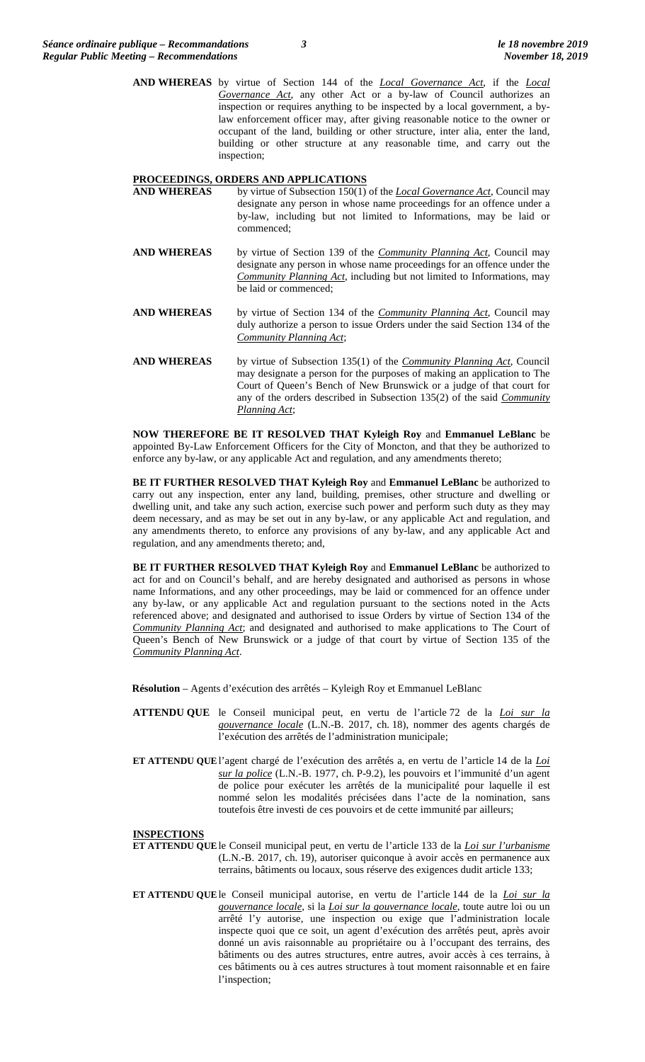**AND WHEREAS** by virtue of Section 144 of the *Local Governance Act*, if the *Local Governance Act,* any other Act or a by-law of Council authorizes an inspection or requires anything to be inspected by a local government, a bylaw enforcement officer may, after giving reasonable notice to the owner or occupant of the land, building or other structure, inter alia, enter the land, building or other structure at any reasonable time, and carry out the inspection;

# **PROCEEDINGS, ORDERS AND APPLICATIONS**<br>**AND WHEREAS** by virtue of Subsection 150(1)

- by virtue of Subsection 150(1) of the *Local Governance Act*, Council may designate any person in whose name proceedings for an offence under a by-law, including but not limited to Informations, may be laid or commenced;
- **AND WHEREAS** by virtue of Section 139 of the *Community Planning Act*, Council may designate any person in whose name proceedings for an offence under the *Community Planning Act*, including but not limited to Informations, may be laid or commenced;
- **AND WHEREAS** by virtue of Section 134 of the *Community Planning Act*, Council may duly authorize a person to issue Orders under the said Section 134 of the *Community Planning Act*;
- **AND WHEREAS** by virtue of Subsection 135(1) of the *Community Planning Act*, Council may designate a person for the purposes of making an application to The Court of Queen's Bench of New Brunswick or a judge of that court for any of the orders described in Subsection 135(2) of the said *Community Planning Act*;

**NOW THEREFORE BE IT RESOLVED THAT Kyleigh Roy** and **Emmanuel LeBlanc** be appointed By-Law Enforcement Officers for the City of Moncton, and that they be authorized to enforce any by-law, or any applicable Act and regulation, and any amendments thereto;

**BE IT FURTHER RESOLVED THAT Kyleigh Roy** and **Emmanuel LeBlanc** be authorized to carry out any inspection, enter any land, building, premises, other structure and dwelling or dwelling unit, and take any such action, exercise such power and perform such duty as they may deem necessary, and as may be set out in any by-law, or any applicable Act and regulation, and any amendments thereto, to enforce any provisions of any by-law, and any applicable Act and regulation, and any amendments thereto; and,

**BE IT FURTHER RESOLVED THAT Kyleigh Roy** and **Emmanuel LeBlanc** be authorized to act for and on Council's behalf, and are hereby designated and authorised as persons in whose name Informations, and any other proceedings, may be laid or commenced for an offence under any by-law, or any applicable Act and regulation pursuant to the sections noted in the Acts referenced above; and designated and authorised to issue Orders by virtue of Section 134 of the *Community Planning Act*; and designated and authorised to make applications to The Court of Queen's Bench of New Brunswick or a judge of that court by virtue of Section 135 of the *Community Planning Act*.

**Résolution** – Agents d'exécution des arrêtés – Kyleigh Roy et Emmanuel LeBlanc

- **ATTENDU QUE** le Conseil municipal peut, en vertu de l'article 72 de la *Loi sur la gouvernance locale* (L.N.-B. 2017, ch. 18), nommer des agents chargés de l'exécution des arrêtés de l'administration municipale;
- **ET ATTENDU QUE**l'agent chargé de l'exécution des arrêtés a, en vertu de l'article 14 de la *Loi sur la police* (L.N.-B. 1977, ch. P-9.2), les pouvoirs et l'immunité d'un agent de police pour exécuter les arrêtés de la municipalité pour laquelle il est nommé selon les modalités précisées dans l'acte de la nomination, sans toutefois être investi de ces pouvoirs et de cette immunité par ailleurs;

#### **INSPECTIONS**

**ET ATTENDU QUE**le Conseil municipal peut, en vertu de l'article 133 de la *Loi sur l'urbanisme* (L.N.-B. 2017, ch. 19), autoriser quiconque à avoir accès en permanence aux terrains, bâtiments ou locaux, sous réserve des exigences dudit article 133;

**ET ATTENDU QUE**le Conseil municipal autorise, en vertu de l'article 144 de la *Loi sur la gouvernance locale*, si la *Loi sur la gouvernance locale*, toute autre loi ou un arrêté l'y autorise, une inspection ou exige que l'administration locale inspecte quoi que ce soit, un agent d'exécution des arrêtés peut, après avoir donné un avis raisonnable au propriétaire ou à l'occupant des terrains, des bâtiments ou des autres structures, entre autres, avoir accès à ces terrains, à ces bâtiments ou à ces autres structures à tout moment raisonnable et en faire l'inspection;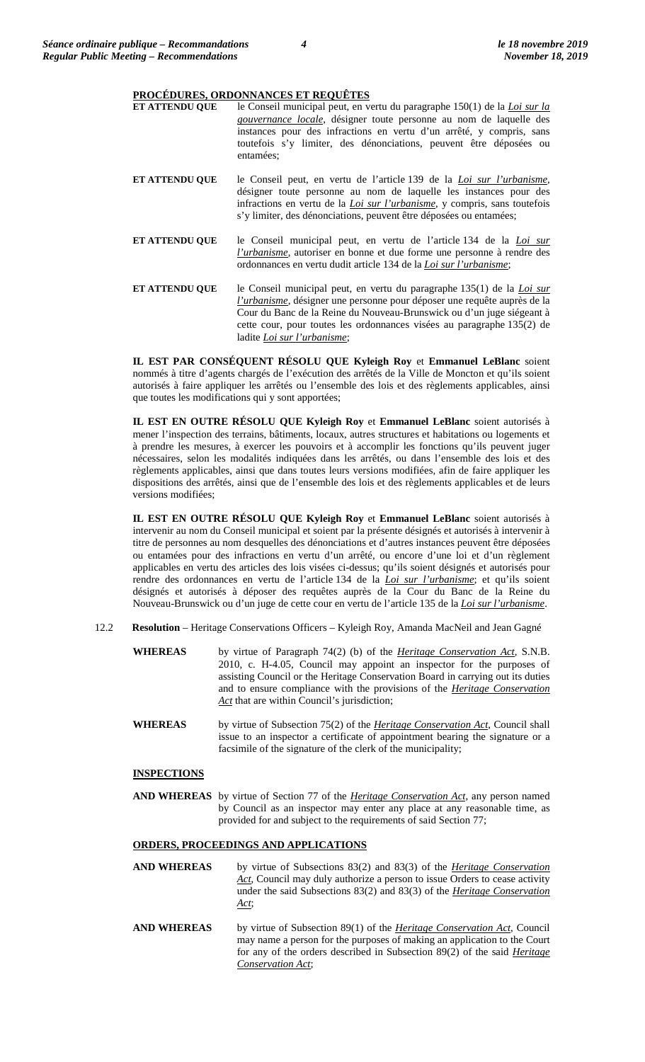#### **PROCÉDURES, ORDONNANCES ET REQUÊTES**

| <b>ET ATTENDU QUE</b> | le Conseil municipal peut, en vertu du paragraphe 150(1) de la <i>Loi sur la</i><br>gouvernance locale, désigner toute personne au nom de laquelle des<br>instances pour des infractions en vertu d'un arrêté, y compris, sans<br>toutefois s'y limiter, des dénonciations, peuvent être déposées ou<br>entamées:    |
|-----------------------|----------------------------------------------------------------------------------------------------------------------------------------------------------------------------------------------------------------------------------------------------------------------------------------------------------------------|
| <b>ET ATTENDU QUE</b> | le Conseil peut, en vertu de l'article 139 de la Loi sur l'urbanisme,<br>désigner toute personne au nom de laquelle les instances pour des<br>infractions en vertu de la <i>Loi sur l'urbanisme</i> , y compris, sans toutefois<br>s'y limiter, des dénonciations, peuvent être déposées ou entamées;                |
| ET ATTENDU QUE        | le Conseil municipal peut, en vertu de l'article 134 de la Loi sur<br><i>l'urbanisme</i> , autoriser en bonne et due forme une personne à rendre des<br>ordonnances en vertu dudit article 134 de la Loi sur l'urbanisme;                                                                                            |
| <b>ET ATTENDU OUE</b> | le Conseil municipal peut, en vertu du paragraphe 135(1) de la <i>Loi sur</i><br><i>l'urbanisme</i> , désigner une personne pour déposer une requête auprès de la<br>Cour du Banc de la Reine du Nouveau-Brunswick ou d'un juge siégeant à<br>cette cour, pour toutes les ordonnances visées au paragraphe 135(2) de |

**IL EST PAR CONSÉQUENT RÉSOLU QUE Kyleigh Roy** et **Emmanuel LeBlanc** soient nommés à titre d'agents chargés de l'exécution des arrêtés de la Ville de Moncton et qu'ils soient autorisés à faire appliquer les arrêtés ou l'ensemble des lois et des règlements applicables, ainsi que toutes les modifications qui y sont apportées;

ladite *Loi sur l'urbanisme*;

**IL EST EN OUTRE RÉSOLU QUE Kyleigh Roy** et **Emmanuel LeBlanc** soient autorisés à mener l'inspection des terrains, bâtiments, locaux, autres structures et habitations ou logements et à prendre les mesures, à exercer les pouvoirs et à accomplir les fonctions qu'ils peuvent juger nécessaires, selon les modalités indiquées dans les arrêtés, ou dans l'ensemble des lois et des règlements applicables, ainsi que dans toutes leurs versions modifiées, afin de faire appliquer les dispositions des arrêtés, ainsi que de l'ensemble des lois et des règlements applicables et de leurs versions modifiées;

**IL EST EN OUTRE RÉSOLU QUE Kyleigh Roy** et **Emmanuel LeBlanc** soient autorisés à intervenir au nom du Conseil municipal et soient par la présente désignés et autorisés à intervenir à titre de personnes au nom desquelles des dénonciations et d'autres instances peuvent être déposées ou entamées pour des infractions en vertu d'un arrêté, ou encore d'une loi et d'un règlement applicables en vertu des articles des lois visées ci-dessus; qu'ils soient désignés et autorisés pour rendre des ordonnances en vertu de l'article 134 de la *Loi sur l'urbanisme*; et qu'ils soient désignés et autorisés à déposer des requêtes auprès de la Cour du Banc de la Reine du Nouveau-Brunswick ou d'un juge de cette cour en vertu de l'article 135 de la *Loi sur l'urbanisme*.

- 12.2 **Resolution** Heritage Conservations Officers Kyleigh Roy, Amanda MacNeil and Jean Gagné
	- **WHEREAS** by virtue of Paragraph 74(2) (b) of the *Heritage Conservation Act*, S.N.B. 2010, c. H-4.05, Council may appoint an inspector for the purposes of assisting Council or the Heritage Conservation Board in carrying out its duties and to ensure compliance with the provisions of the *Heritage Conservation*  Act that are within Council's jurisdiction;
	- **WHEREAS** by virtue of Subsection 75(2) of the *Heritage Conservation Act*, Council shall issue to an inspector a certificate of appointment bearing the signature or a facsimile of the signature of the clerk of the municipality;

### **INSPECTIONS**

**AND WHEREAS** by virtue of Section 77 of the *Heritage Conservation Act*, any person named by Council as an inspector may enter any place at any reasonable time, as provided for and subject to the requirements of said Section 77;

#### **ORDERS, PROCEEDINGS AND APPLICATIONS**

- **AND WHEREAS** by virtue of Subsections 83(2) and 83(3) of the *Heritage Conservation Act*, Council may duly authorize a person to issue Orders to cease activity under the said Subsections 83(2) and 83(3) of the *Heritage Conservation Act*;
- **AND WHEREAS** by virtue of Subsection 89(1) of the *Heritage Conservation Act*, Council may name a person for the purposes of making an application to the Court for any of the orders described in Subsection 89(2) of the said *Heritage Conservation Act*;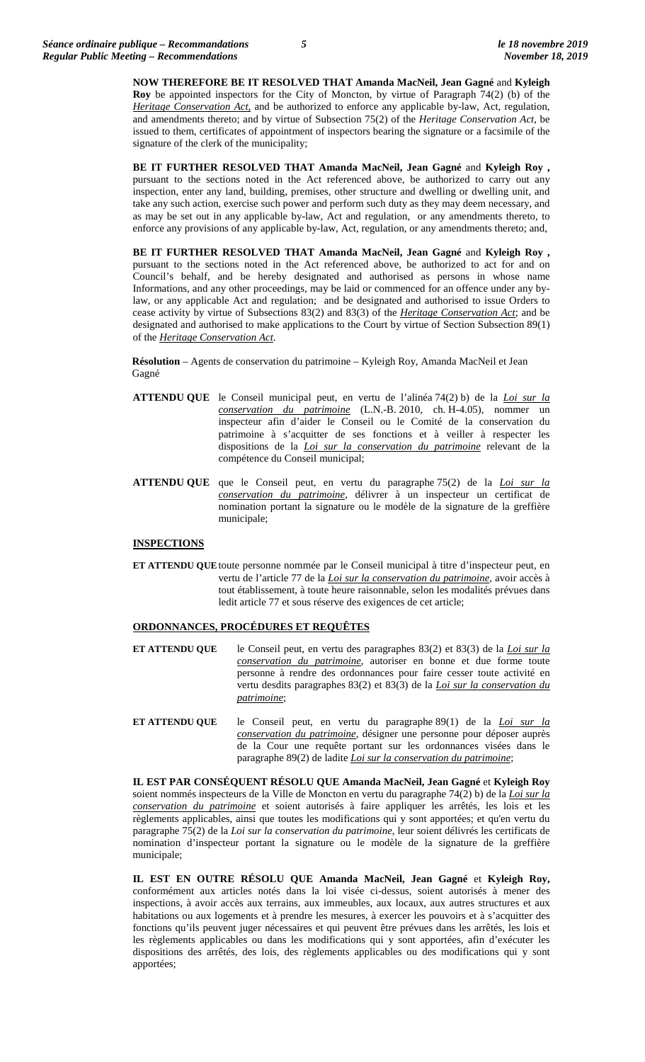**NOW THEREFORE BE IT RESOLVED THAT Amanda MacNeil, Jean Gagné** and **Kyleigh Roy** be appointed inspectors for the City of Moncton, by virtue of Paragraph 74(2) (b) of the *Heritage Conservation Act,* and be authorized to enforce any applicable by-law, Act, regulation, and amendments thereto; and by virtue of Subsection 75(2) of the *Heritage Conservation Act*, be issued to them, certificates of appointment of inspectors bearing the signature or a facsimile of the signature of the clerk of the municipality;

**BE IT FURTHER RESOLVED THAT Amanda MacNeil, Jean Gagné** and **Kyleigh Roy ,**  pursuant to the sections noted in the Act referenced above, be authorized to carry out any inspection, enter any land, building, premises, other structure and dwelling or dwelling unit, and take any such action, exercise such power and perform such duty as they may deem necessary, and as may be set out in any applicable by-law, Act and regulation, or any amendments thereto, to enforce any provisions of any applicable by-law, Act, regulation, or any amendments thereto; and,

**BE IT FURTHER RESOLVED THAT Amanda MacNeil, Jean Gagné** and **Kyleigh Roy ,**  pursuant to the sections noted in the Act referenced above, be authorized to act for and on Council's behalf, and be hereby designated and authorised as persons in whose name Informations, and any other proceedings, may be laid or commenced for an offence under any bylaw, or any applicable Act and regulation; and be designated and authorised to issue Orders to cease activity by virtue of Subsections 83(2) and 83(3) of the *Heritage Conservation Act*; and be designated and authorised to make applications to the Court by virtue of Section Subsection 89(1) of the *Heritage Conservation Act*.

**Résolution** – Agents de conservation du patrimoine – Kyleigh Roy, Amanda MacNeil et Jean Gagné

- **ATTENDU QUE** le Conseil municipal peut, en vertu de l'alinéa 74(2) b) de la *Loi sur la conservation du patrimoine* (L.N.-B. 2010, ch. H-4.05), nommer un inspecteur afin d'aider le Conseil ou le Comité de la conservation du patrimoine à s'acquitter de ses fonctions et à veiller à respecter les dispositions de la *Loi sur la conservation du patrimoine* relevant de la compétence du Conseil municipal;
- **ATTENDU QUE** que le Conseil peut, en vertu du paragraphe 75(2) de la *Loi sur la conservation du patrimoine*, délivrer à un inspecteur un certificat de nomination portant la signature ou le modèle de la signature de la greffière municipale;

#### **INSPECTIONS**

**ET ATTENDU QUE**toute personne nommée par le Conseil municipal à titre d'inspecteur peut, en vertu de l'article 77 de la *Loi sur la conservation du patrimoine*, avoir accès à tout établissement, à toute heure raisonnable, selon les modalités prévues dans ledit article 77 et sous réserve des exigences de cet article;

#### **ORDONNANCES, PROCÉDURES ET REQUÊTES**

- **ET ATTENDU QUE** le Conseil peut, en vertu des paragraphes 83(2) et 83(3) de la *Loi sur la conservation du patrimoine*, autoriser en bonne et due forme toute personne à rendre des ordonnances pour faire cesser toute activité en vertu desdits paragraphes 83(2) et 83(3) de la *Loi sur la conservation du patrimoine*;
- **ET ATTENDU QUE** le Conseil peut, en vertu du paragraphe 89(1) de la *Loi sur la conservation du patrimoine*, désigner une personne pour déposer auprès de la Cour une requête portant sur les ordonnances visées dans le paragraphe 89(2) de ladite *Loi sur la conservation du patrimoine*;

**IL EST PAR CONSÉQUENT RÉSOLU QUE Amanda MacNeil, Jean Gagné** et **Kyleigh Roy**  soient nommés inspecteurs de la Ville de Moncton en vertu du paragraphe 74(2) b) de la *Loi sur la conservation du patrimoine* et soient autorisés à faire appliquer les arrêtés, les lois et les règlements applicables, ainsi que toutes les modifications qui y sont apportées; et qu'en vertu du paragraphe 75(2) de la *Loi sur la conservation du patrimoine*, leur soient délivrés les certificats de nomination d'inspecteur portant la signature ou le modèle de la signature de la greffière municipale;

**IL EST EN OUTRE RÉSOLU QUE Amanda MacNeil, Jean Gagné** et **Kyleigh Roy,**  conformément aux articles notés dans la loi visée ci-dessus, soient autorisés à mener des inspections, à avoir accès aux terrains, aux immeubles, aux locaux, aux autres structures et aux habitations ou aux logements et à prendre les mesures, à exercer les pouvoirs et à s'acquitter des fonctions qu'ils peuvent juger nécessaires et qui peuvent être prévues dans les arrêtés, les lois et les règlements applicables ou dans les modifications qui y sont apportées, afin d'exécuter les dispositions des arrêtés, des lois, des règlements applicables ou des modifications qui y sont apportées;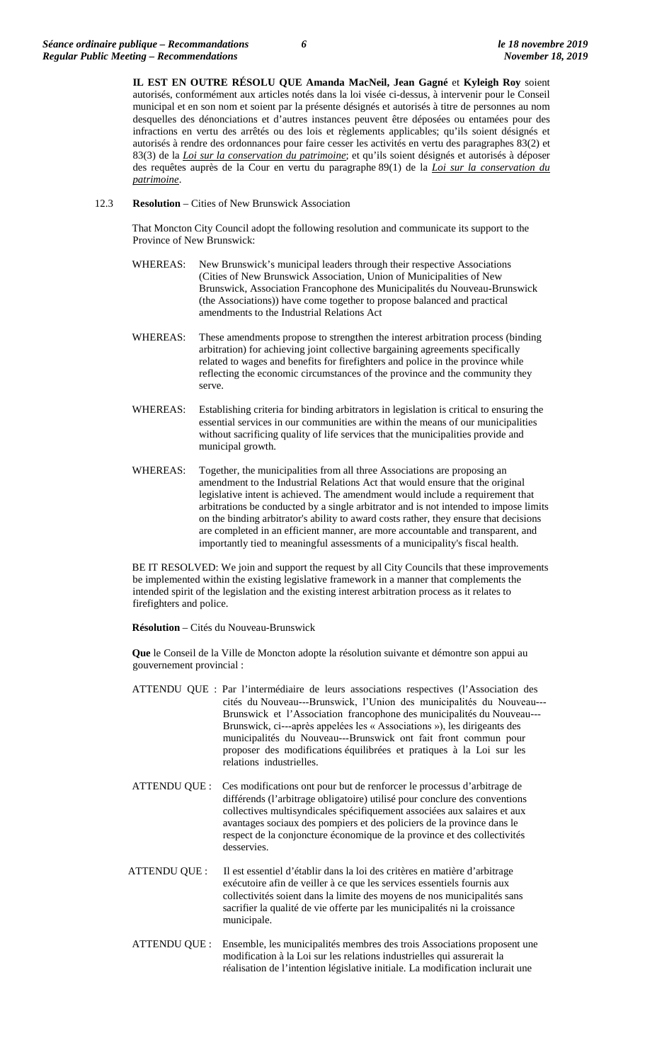**IL EST EN OUTRE RÉSOLU QUE Amanda MacNeil, Jean Gagné** et **Kyleigh Roy** soient autorisés, conformément aux articles notés dans la loi visée ci-dessus, à intervenir pour le Conseil municipal et en son nom et soient par la présente désignés et autorisés à titre de personnes au nom desquelles des dénonciations et d'autres instances peuvent être déposées ou entamées pour des infractions en vertu des arrêtés ou des lois et règlements applicables; qu'ils soient désignés et autorisés à rendre des ordonnances pour faire cesser les activités en vertu des paragraphes 83(2) et 83(3) de la *Loi sur la conservation du patrimoine*; et qu'ils soient désignés et autorisés à déposer des requêtes auprès de la Cour en vertu du paragraphe 89(1) de la *Loi sur la conservation du patrimoine*.

12.3 **Resolution** – Cities of New Brunswick Association

That Moncton City Council adopt the following resolution and communicate its support to the Province of New Brunswick:

- WHEREAS: New Brunswick's municipal leaders through their respective Associations (Cities of New Brunswick Association, Union of Municipalities of New Brunswick, Association Francophone des Municipalités du Nouveau-Brunswick (the Associations)) have come together to propose balanced and practical amendments to the Industrial Relations Act
- WHEREAS: These amendments propose to strengthen the interest arbitration process (binding arbitration) for achieving joint collective bargaining agreements specifically related to wages and benefits for firefighters and police in the province while reflecting the economic circumstances of the province and the community they serve.
- WHEREAS: Establishing criteria for binding arbitrators in legislation is critical to ensuring the essential services in our communities are within the means of our municipalities without sacrificing quality of life services that the municipalities provide and municipal growth.
- WHEREAS: Together, the municipalities from all three Associations are proposing an amendment to the Industrial Relations Act that would ensure that the original legislative intent is achieved. The amendment would include a requirement that arbitrations be conducted by a single arbitrator and is not intended to impose limits on the binding arbitrator's ability to award costs rather, they ensure that decisions are completed in an efficient manner, are more accountable and transparent, and importantly tied to meaningful assessments of a municipality's fiscal health.

BE IT RESOLVED: We join and support the request by all City Councils that these improvements be implemented within the existing legislative framework in a manner that complements the intended spirit of the legislation and the existing interest arbitration process as it relates to firefighters and police.

**Résolution** – Cités du Nouveau-Brunswick

**Que** le Conseil de la Ville de Moncton adopte la résolution suivante et démontre son appui au gouvernement provincial :

- ATTENDU QUE : Par l'intermédiaire de leurs associations respectives (l'Association des cités du Nouveau-‐Brunswick, l'Union des municipalités du Nouveau-‐ Brunswick et l'Association francophone des municipalités du Nouveau-‐ Brunswick, ci-‐après appelées les « Associations »), les dirigeants des municipalités du Nouveau-‐Brunswick ont fait front commun pour proposer des modifications équilibrées et pratiques à la Loi sur les relations industrielles.
- ATTENDU QUE : Ces modifications ont pour but de renforcer le processus d'arbitrage de différends (l'arbitrage obligatoire) utilisé pour conclure des conventions collectives multisyndicales spécifiquement associées aux salaires et aux avantages sociaux des pompiers et des policiers de la province dans le respect de la conjoncture économique de la province et des collectivités desservies.
- ATTENDU QUE : Il est essentiel d'établir dans la loi des critères en matière d'arbitrage exécutoire afin de veiller à ce que les services essentiels fournis aux collectivités soient dans la limite des moyens de nos municipalités sans sacrifier la qualité de vie offerte par les municipalités ni la croissance municipale.
- ATTENDU QUE : Ensemble, les municipalités membres des trois Associations proposent une modification à la Loi sur les relations industrielles qui assurerait la réalisation de l'intention législative initiale. La modification inclurait une